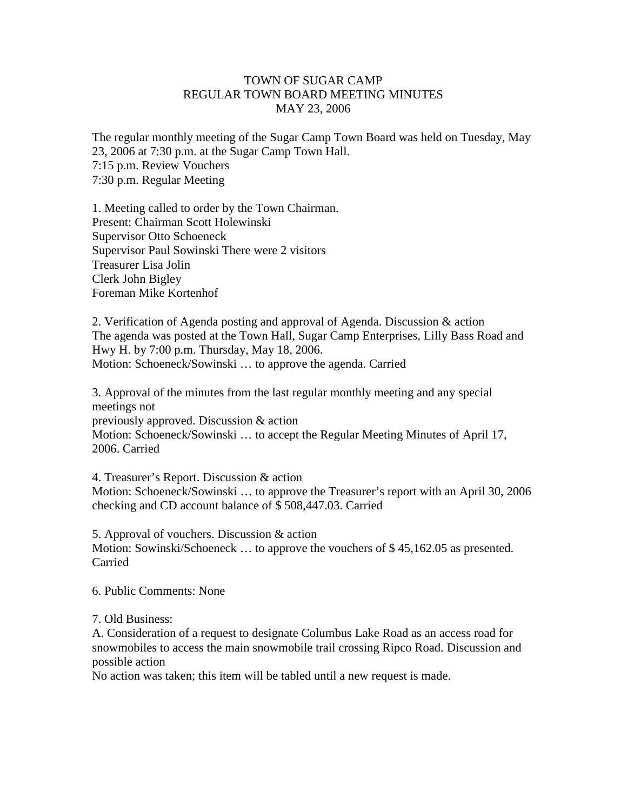## TOWN OF SUGAR CAMP REGULAR TOWN BOARD MEETING MINUTES MAY 23, 2006

The regular monthly meeting of the Sugar Camp Town Board was held on Tuesday, May 23, 2006 at 7:30 p.m. at the Sugar Camp Town Hall. 7:15 p.m. Review Vouchers 7:30 p.m. Regular Meeting

1. Meeting called to order by the Town Chairman. Present: Chairman Scott Holewinski Supervisor Otto Schoeneck Supervisor Paul Sowinski There were 2 visitors Treasurer Lisa Jolin Clerk John Bigley Foreman Mike Kortenhof

2. Verification of Agenda posting and approval of Agenda. Discussion & action The agenda was posted at the Town Hall, Sugar Camp Enterprises, Lilly Bass Road and Hwy H. by 7:00 p.m. Thursday, May 18, 2006. Motion: Schoeneck/Sowinski … to approve the agenda. Carried

3. Approval of the minutes from the last regular monthly meeting and any special meetings not previously approved. Discussion & action Motion: Schoeneck/Sowinski … to accept the Regular Meeting Minutes of April 17, 2006. Carried

4. Treasurer's Report. Discussion & action Motion: Schoeneck/Sowinski … to approve the Treasurer's report with an April 30, 2006 checking and CD account balance of \$ 508,447.03. Carried

5. Approval of vouchers. Discussion & action Motion: Sowinski/Schoeneck ... to approve the vouchers of \$45,162.05 as presented. Carried

6. Public Comments: None

7. Old Business:

A. Consideration of a request to designate Columbus Lake Road as an access road for snowmobiles to access the main snowmobile trail crossing Ripco Road. Discussion and possible action

No action was taken; this item will be tabled until a new request is made.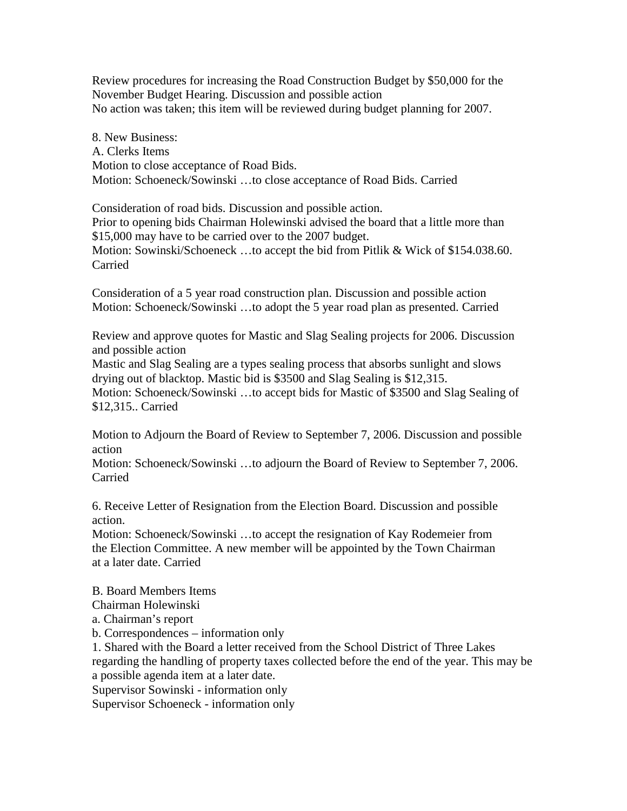Review procedures for increasing the Road Construction Budget by \$50,000 for the November Budget Hearing. Discussion and possible action No action was taken; this item will be reviewed during budget planning for 2007.

8. New Business: A. Clerks Items Motion to close acceptance of Road Bids. Motion: Schoeneck/Sowinski …to close acceptance of Road Bids. Carried

Consideration of road bids. Discussion and possible action. Prior to opening bids Chairman Holewinski advised the board that a little more than \$15,000 may have to be carried over to the 2007 budget. Motion: Sowinski/Schoeneck ...to accept the bid from Pitlik & Wick of \$154.038.60.

Carried

Consideration of a 5 year road construction plan. Discussion and possible action Motion: Schoeneck/Sowinski …to adopt the 5 year road plan as presented. Carried

Review and approve quotes for Mastic and Slag Sealing projects for 2006. Discussion and possible action

Mastic and Slag Sealing are a types sealing process that absorbs sunlight and slows drying out of blacktop. Mastic bid is \$3500 and Slag Sealing is \$12,315.

Motion: Schoeneck/Sowinski …to accept bids for Mastic of \$3500 and Slag Sealing of \$12,315.. Carried

Motion to Adjourn the Board of Review to September 7, 2006. Discussion and possible action

Motion: Schoeneck/Sowinski …to adjourn the Board of Review to September 7, 2006. Carried

6. Receive Letter of Resignation from the Election Board. Discussion and possible action.

Motion: Schoeneck/Sowinski …to accept the resignation of Kay Rodemeier from the Election Committee. A new member will be appointed by the Town Chairman at a later date. Carried

B. Board Members Items

Chairman Holewinski

a. Chairman's report

b. Correspondences – information only

1. Shared with the Board a letter received from the School District of Three Lakes regarding the handling of property taxes collected before the end of the year. This may be a possible agenda item at a later date.

Supervisor Sowinski - information only

Supervisor Schoeneck - information only